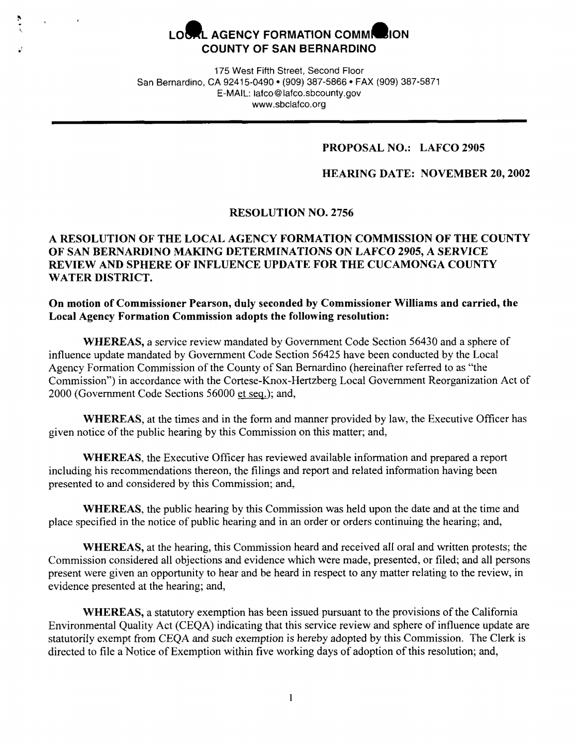# LOCAL AGENCY FORMATION COMMI<sup>2</sup>ION **COUNTY OF SAN BERNARDINO**

*;:* 

175 **West** Fifth Street, Second Floor San Bernardino, CA 92415-0490 • (909) 387-5866 • FAX (909) 387-5871 **E-MAIL:** lafco@lafco.sbcounty.gov www .sbclafco.org

### **PROPOSAL NO.: LAFCO 2905**

### **HEARING DATE: NOVEMBER 20, 2002**

### **RESOLUTION NO. 2756**

# **A RESOLUTION OF THE LOCAL AGENCY FORMATION COMMISSION OF THE COUNTY OF SAN BERNARDINO MAKING DETERMINATIONS ON LAFCO 2905, A SERVICE REVIEW AND SPHERE OF INFLUENCE UPDATE FOR THE CUCAMONGA COUNTY WATER DISTRICT.**

**On motion of Commissioner Pearson, duly seconded by Commissioner Williams and carried, the Local Agency Formation Commission adopts the following resolution:** 

**WHEREAS,** a service review mandated by Government Code Section 56430 and a sphere of influence update mandated by Government Code Section 56425 have been conducted by the Local Agency Formation Commission of the County of San Bernardino (hereinafter referred to as "the Commission") in accordance with the Cortese-Knox-Hertzberg Local Government Reorganization Act of 2000 (Government Code Sections 56000 et seq.); and,

**WHEREAS,** at the times and in the form and manner provided by law, the Executive Officer has given notice of the public hearing by this Commission on this matter; and,

**WHEREAS,** the Executive Officer has reviewed available information and prepared a report including his recommendations thereon, the filings and report and related information having been presented to and considered by this Commission; and,

**WHEREAS,** the public hearing by this Commission was held upon the date and at the time and place specified in the notice of public hearing and in an order or orders continuing the hearing; and,

**WHEREAS,** at the hearing, this Commission heard and received all oral and written protests; the Commission considered all objections and evidence which were made, presented, or filed; and all persons present were given an opportunity to hear and be heard in respect to any matter relating to the review, in evidence presented at the hearing; and,

**WHEREAS,** a statutory exemption has been issued pursuant to the provisions of the California Environmental Quality Act (CEQA) indicating that this service review and sphere of influence update are statutorily exempt from CEQA and such exemption is hereby adopted by this Commission. The Clerk is directed to file a Notice of Exemption within five working days of adoption of this resolution; and,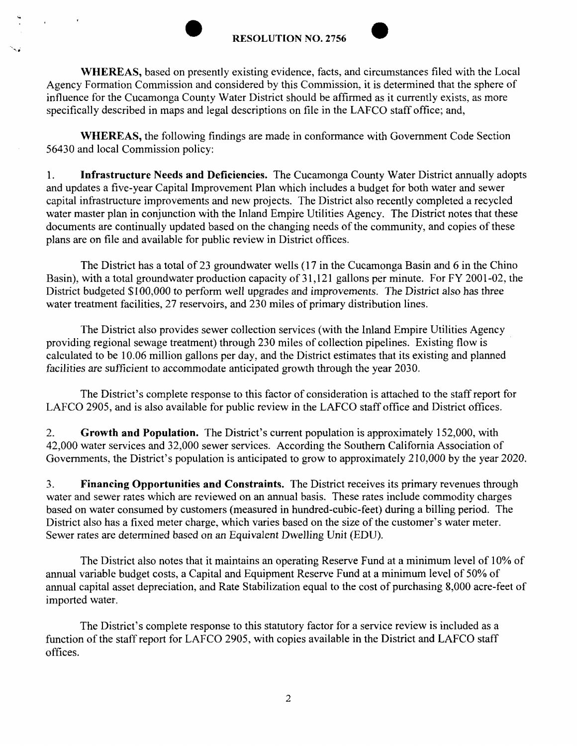

**WHEREAS,** based on presently existing evidence, facts, and circumstances filed with the Local Agency Formation Commission and considered by this Commission, it is determined that the sphere of influence for the Cucamonga County Water District should be affirmed as it currently exists, as more specifically described in maps and legal descriptions on file in the LAFCO staff office; and,

**WHEREAS,** the following findings are made in conformance with Government Code Section 56430 and local Commission policy:

1. **Infrastructure Needs and Deficiencies.** The Cucamonga County Water District annually adopts and updates a five-year Capital Improvement Plan which includes a budget for both water and sewer capital infrastructure improvements and new projects. The District also recently completed a recycled water master plan in conjunction with the Inland Empire Utilities Agency. The District notes that these documents are continually updated based on the changing needs of the community, and copies of these plans are on file and available for public review in District offices.

The District has a total of 23 groundwater wells (17 in the Cucamonga Basin and 6 in the Chino Basin), with a total groundwater production capacity of 31,121 gallons per minute. For FY 2001-02, the District budgeted \$100,000 to perform well upgrades and improvements. The District also has three water treatment facilities, 27 reservoirs, and 230 miles of primary distribution lines.

The District also provides sewer collection services (with the Inland Empire Utilities Agency providing regional sewage treatment) through 230 miles of collection pipelines. Existing flow is calculated to be 10.06 million gallons per day, and the District estimates that its existing and planned facilities are sufficient to accommodate anticipated growth through the year 2030.

The District's complete response to this factor of consideration is attached to the staff report for LAFCO 2905, and is also available for public review in the LAFCO staff office and District offices.

2. **Growth and Population.** The District's current population is approximately 152,000, with 42,000 water services and 32,000 sewer services. According the Southern California Association of Governments, the District's population is anticipated to grow to approximately 210,000 by the year 2020.

3. **Financing Opportunities and Constraints.** The District receives its primary revenues through water and sewer rates which are reviewed on an annual basis. These rates include commodity charges based on water consumed by customers (measured in hundred-cubic-feet) during a billing period. The District also has a fixed meter charge, which varies based on the size of the customer's water meter. Sewer rates are determined based on an Equivalent Dwelling Unit (EDU).

The District also notes that it maintains an operating Reserve Fund at a minimum level of I 0% of annual variable budget costs, a Capital and Equipment Reserve Fund at a minimum level of 50% of annual capital asset depreciation, and Rate Stabilization equal to the cost of purchasing 8,000 acre-feet of imported water.

The District's complete response to this statutory factor for a service review is included as a function of the staff report for LAFCO 2905, with copies available in the District and LAFCO staff offices.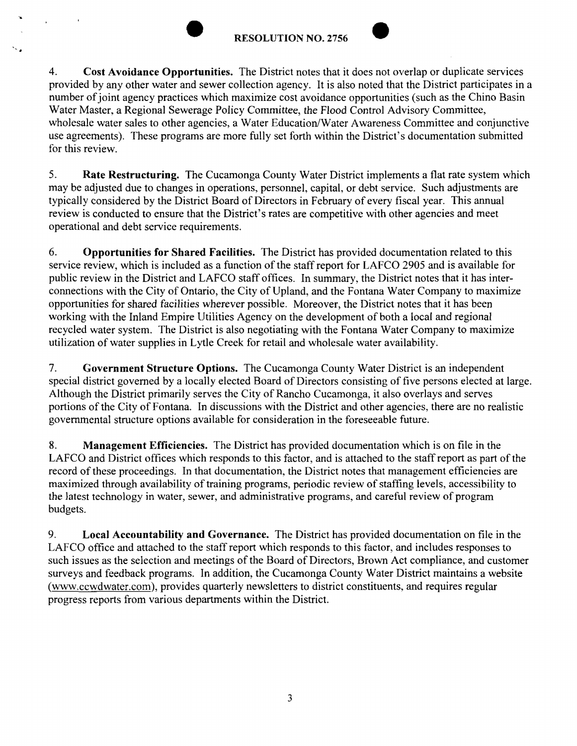..



4. **Cost Avoidance Opportunities.** The District notes that it does not overlap or duplicate services provided by any other water and sewer collection agency. It is also noted that the District participates in a number of joint agency practices which maximize cost avoidance opportunities (such as the Chino Basin Water Master, a Regional Sewerage Policy Committee, the Flood Control Advisory Committee, wholesale water sales to other agencies, a Water Education/Water Awareness Committee and conjunctive use agreements). These programs are more fully set forth within the District's documentation submitted for this review.

5. **Rate Restructuring.** The Cucamonga County Water District implements a flat rate system which may be adjusted due to changes in operations, personnel, capital, or debt service. Such adjustments are typically considered by the District Board of Directors in February of every fiscal year. This annual review is conducted to ensure that the District's rates are competitive with other agencies and meet operational and debt service requirements.

6. **Opportunities for Shared Facilities.** The District has provided documentation related to this service review, which is included as a function of the staff report for LAFCO 2905 and is available for public review in the District and LAFCO staff offices. In summary, the District notes that it has interconnections with the City of Ontario, the City of Upland, and the Fontana Water Company to maximize opportunities for shared facilities wherever possible. Moreover, the District notes that it has been working with the Inland Empire Utilities Agency on the development of both a local and regional recycled water system. The District is also negotiating with the Fontana Water Company to maximize utilization of water supplies in Lytle Creek for retail and wholesale water availability.

7. **Government Structure Options.** The Cucamonga County Water District is an independent special district governed by a locally elected Board of Directors consisting of five persons elected at large. Although the District primarily serves the City of Rancho Cucamonga, it also overlays and serves portions of the City of Fontana. In discussions with the District and other agencies, there are no realistic governmental structure options available for consideration in the foreseeable future.

**8. Management Efficiencies.** The District has provided documentation which is on file in the LAFCO and District offices which responds to this factor, and is attached to the staff report as part of the record of these proceedings. In that documentation, the District notes that management efficiencies are maximized through availability of training programs, periodic review of staffing levels, accessibility to the latest technology in water, sewer, and administrative programs, and careful review of program budgets.

9. **Local Accountability and Governance.** The District has provided documentation on file in the LAFCO office and attached to the staff report which responds to this factor, and includes responses to such issues as the selection and meetings of the Board of Directors, Brown Act compliance, and customer surveys and feedback programs. In addition, the Cucamonga County Water District maintains a website (www.ccwdwater.com), provides quarterly newsletters to district constituents, and requires regular progress reports from various departments within the District.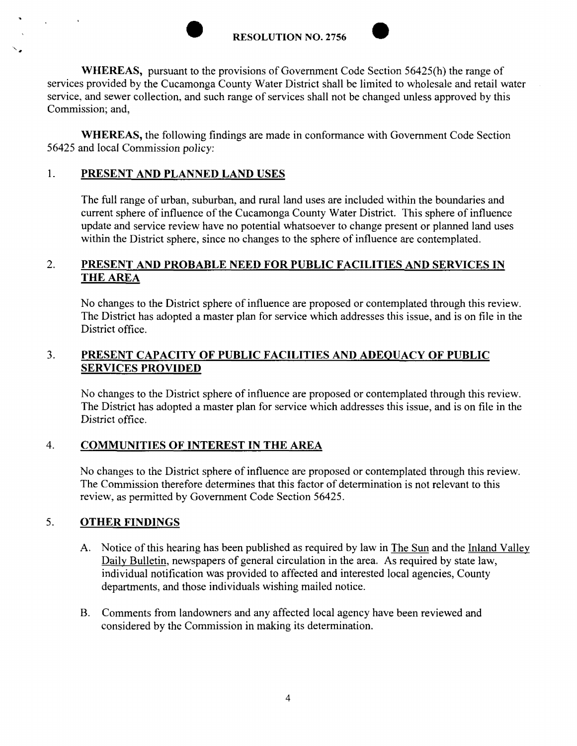**RESOLUTION NO. 2756** 



**WHEREAS,** pursuant to the provisions of Government Code Section 56425(h) the range of services provided by the Cucamonga County Water District shall be limited to wholesale and retail water service, and sewer collection, and such range of services shall not be changed unless approved by this Commission; and,

**WHEREAS,** the following findings are made in conformance with Government Code Section 56425 and local Commission policy:

# 1. **PRESENT AND PLANNED LAND USES**

The full range of urban, suburban, and rural land uses are included within the boundaries and current sphere of influence of the Cucamonga County Water District. This sphere of influence update and service review have no potential whatsoever to change present or planned land uses within the District sphere, since no changes to the sphere of influence are contemplated.

#### 2. **PRESENT AND PROBABLE NEED FOR PUBLIC FACILITIES AND SERVICES IN THE AREA**

No changes to the District sphere of influence are proposed or contemplated through this review. The District has adopted a master plan for service which addresses this issue, and is on file in the District office.

#### 3. **PRESENT CAPACITY OF PUBLIC FACILITIES AND ADEQUACY OF PUBLIC SERVICES PROVIDED**

No changes to the District sphere of influence are proposed or contemplated through this review. The District has adopted a master plan for service which addresses this issue, and is on file in the District office.

# 4. **COMMUNITIES OF INTEREST IN THE AREA**

No changes to the District sphere of influence are proposed or contemplated through this review. The Commission therefore determines that this factor of determination is not relevant to this review, as permitted by Government Code Section 56425.

## 5. **OTHER FINDINGS**

- A. Notice of this hearing has been published as required by law in The Sun and the Inland Valley Daily Bulletin, newspapers of general circulation in the area. As required by state law, individual notification was provided to affected and interested local agencies, County departments, and those individuals wishing mailed notice.
- B. Comments from landowners and any affected local agency have been reviewed and considered by the Commission in making its determination.